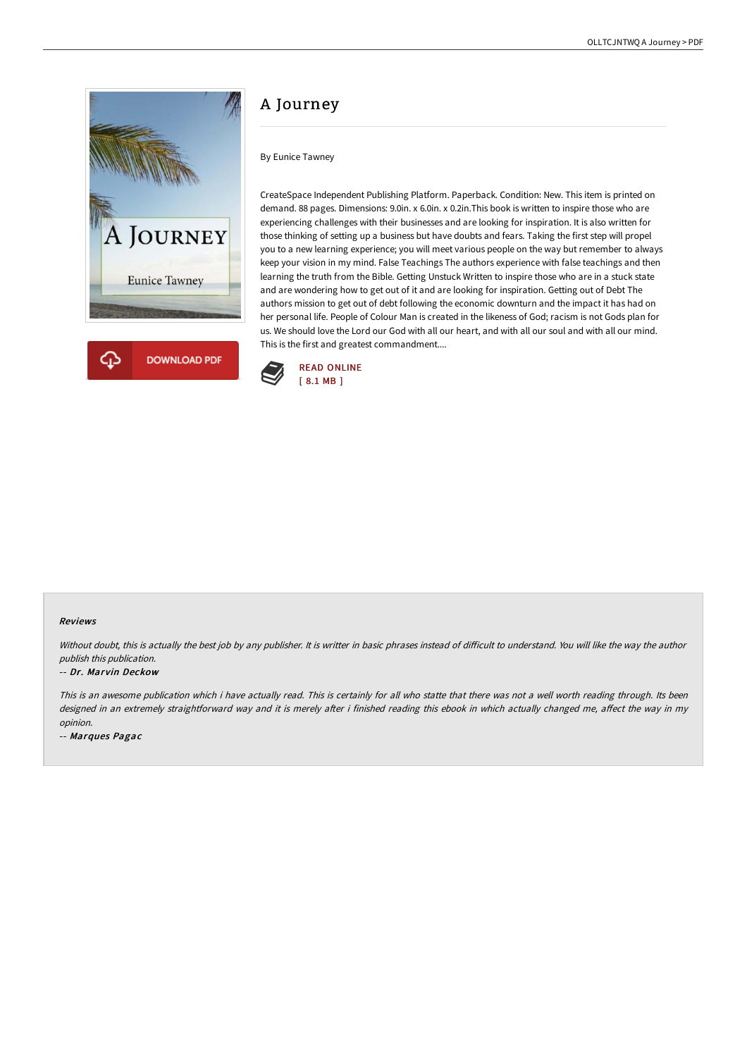



## A Journey

By Eunice Tawney

CreateSpace Independent Publishing Platform. Paperback. Condition: New. This item is printed on demand. 88 pages. Dimensions: 9.0in. x 6.0in. x 0.2in.This book is written to inspire those who are experiencing challenges with their businesses and are looking for inspiration. It is also written for those thinking of setting up a business but have doubts and fears. Taking the first step will propel you to a new learning experience; you will meet various people on the way but remember to always keep your vision in my mind. False Teachings The authors experience with false teachings and then learning the truth from the Bible. Getting Unstuck Written to inspire those who are in a stuck state and are wondering how to get out of it and are looking for inspiration. Getting out of Debt The authors mission to get out of debt following the economic downturn and the impact it has had on her personal life. People of Colour Man is created in the likeness of God; racism is not Gods plan for us. We should love the Lord our God with all our heart, and with all our soul and with all our mind. This is the first and greatest commandment....



## Reviews

Without doubt, this is actually the best job by any publisher. It is writter in basic phrases instead of difficult to understand. You will like the way the author publish this publication.

## -- Dr. Marvin Deckow

This is an awesome publication which i have actually read. This is certainly for all who statte that there was not <sup>a</sup> well worth reading through. Its been designed in an extremely straightforward way and it is merely after i finished reading this ebook in which actually changed me, affect the way in my opinion.

-- Marques Pagac